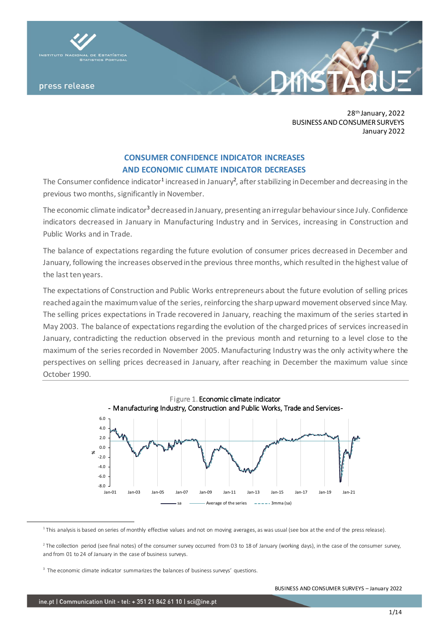

28th January, 2022 BUSINESS AND CONSUMER SURVEYS January 2022

# **CONSUMER CONFIDENCE INDICATOR INCREASES AND ECONOMIC CLIMATE INDICATOR DECREASES**

The Consumer confidence indicator<sup>1</sup> increased in January<sup>2</sup>, after stabilizing in December and decreasing in the previous two months, significantly in November.

The economic climate indicator<sup>3</sup> decreased in January, presenting an irregular behaviour since July. Confidence indicators decreased in January in Manufacturing Industry and in Services, increasing in Construction and Public Works and in Trade.

The balance of expectations regarding the future evolution of consumer prices decreased in December and January, following the increases observed in the previous three months, which resulted in the highest value of the last ten years.

The expectations of Construction and Public Works entrepreneurs about the future evolution of selling prices reached again the maximum value of the series, reinforcing the sharp upward movement observed since May. The selling prices expectations in Trade recovered in January, reaching the maximum of the series started in May 2003. The balance of expectations regarding the evolution of the charged prices of services increased in January, contradicting the reduction observed in the previous month and returning to a level close to the maximum of the series recorded in November 2005. Manufacturing Industry was the only activity where the perspectives on selling prices decreased in January, after reaching in December the maximum value since October 1990.



<sup>&</sup>lt;sup>1</sup> This analysis is based on series of monthly effective values and not on moving averages, as was usual (see box at the end of the press release).

 $^2$  The collection period (see final notes) of the consumer survey occurred from 03 to 18 of January (working days), in the case of the consumer survey, and from 01 to 24 of January in the case of business surveys.

<sup>&</sup>lt;sup>3</sup> The economic climate indicator summarizes the balances of business surveys' questions.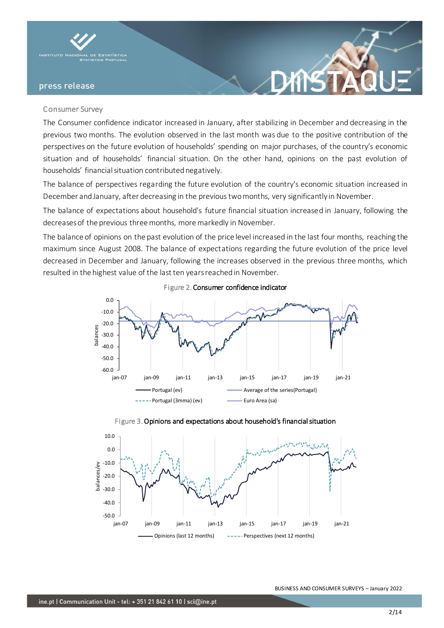

#### Consumer Survey

The Consumer confidence indicator increased in January, after stabilizing in December and decreasing in the previous two months. The evolution observed in the last month was due to the positive contribution of the perspectives on the future evolution of households' spending on major purchases, of the country's economic situation and of households' financial situation. On the other hand, opinions on the past evolution of households' financial situation contributed negatively.

The balance of perspectives regarding the future evolution of the country's economic situation increased in December and January, after decreasing in the previous two months, very significantly in November.

The balance of expectations about household's future financial situation increased in January, following the decreases of the previous three months, more markedly in November.

The balance of opinions on the past evolution of the price level increased in the last four months, reaching the maximum since August 2008. The balance of expectations regarding the future evolution of the price level decreased in December and January, following the increases observed in the previous three months, which resulted in the highest value of the last ten years reached in November.

Figure 2. Consumer confidence indicator







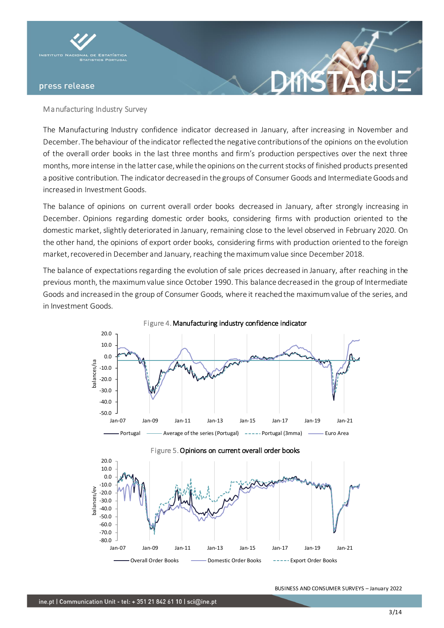

# Manufacturing Industry Survey

The Manufacturing Industry confidence indicator decreased in January, after increasing in November and December. The behaviour of the indicator reflected the negative contributions of the opinions on the evolution of the overall order books in the last three months and firm's production perspectives over the next three months, more intense in the latter case, while the opinions on the current stocks of finished products presented a positive contribution. The indicator decreased in the groups of Consumer Goods and Intermediate Goods and increased in Investment Goods.

**XNS** 

The balance of opinions on current overall order books decreased in January, after strongly increasing in December. Opinions regarding domestic order books, considering firms with production oriented to the domestic market, slightly deteriorated in January, remaining close to the level observed in February 2020. On the other hand, the opinions of export order books, considering firms with production oriented to the foreign market, recovered in December and January, reaching the maximum value since December 2018.

The balance of expectations regarding the evolution of sale prices decreased in January, after reaching in the previous month, the maximum value since October 1990. This balance decreased in the group of Intermediate Goods and increased in the group of Consumer Goods, where it reached the maximum value of the series, and in Investment Goods.





#### Figure 4. Manufacturing industry confidence indicator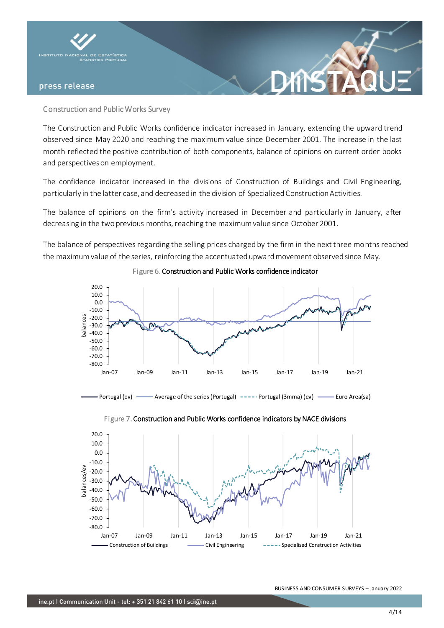

# Construction and Public Works Survey

The Construction and Public Works confidence indicator increased in January, extending the upward trend observed since May 2020 and reaching the maximum value since December 2001. The increase in the last month reflected the positive contribution of both components, balance of opinions on current order books and perspectives on employment.

The confidence indicator increased in the divisions of Construction of Buildings and Civil Engineering, particularly in the latter case, and decreased in the division of Specialized Construction Activities.

The balance of opinions on the firm's activity increased in December and particularly in January, after decreasing in the two previous months, reaching the maximum value since October 2001.

The balance of perspectives regarding the selling prices charged by the firm in the next three months reached the maximum value of the series, reinforcing the accentuated upward movement observed since May.



# Figure 6. Construction and Public Works confidence indicator





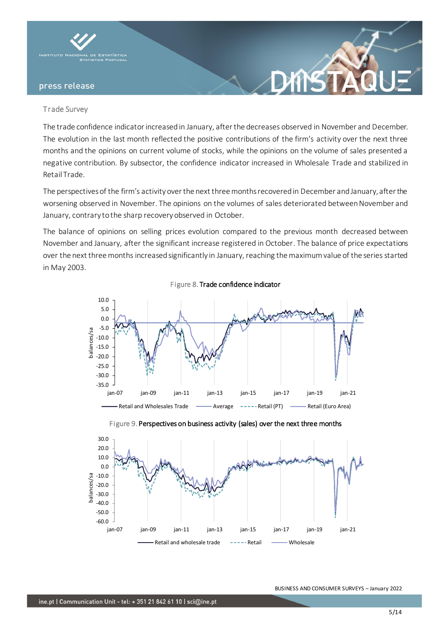

#### Trade Survey

The trade confidence indicator increased in January, after the decreases observed in November and December. The evolution in the last month reflected the positive contributions of the firm's activity over the next three months and the opinions on current volume of stocks, while the opinions on the volume of sales presented a negative contribution. By subsector, the confidence indicator increased in Wholesale Trade and stabilized in Retail Trade.

The perspectives of the firm's activity over the next three months recovered in December and January, after the worsening observed in November. The opinions on the volumes of sales deteriorated between November and January, contrary to the sharp recovery observed in October.

The balance of opinions on selling prices evolution compared to the previous month decreased between November and January, after the significant increase registered in October. The balance of price expectations over the next three months increased significantly in January, reaching the maximum value of the series started in May 2003.





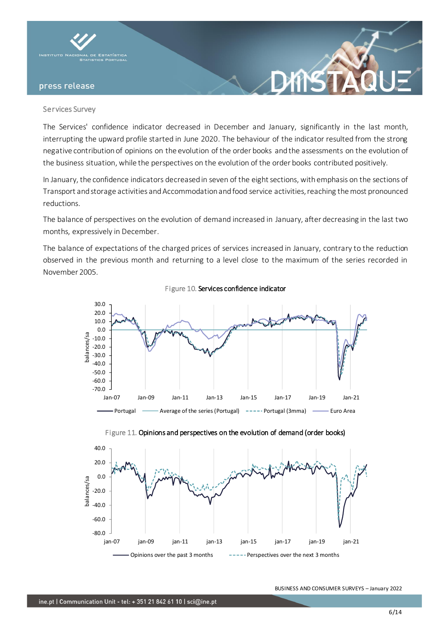

#### Services Survey

The Services' confidence indicator decreased in December and January, significantly in the last month, interrupting the upward profile started in June 2020. The behaviour of the indicator resulted from the strong negative contribution of opinions on the evolution of the order books and the assessments on the evolution of the business situation, while the perspectives on the evolution of the order books contributed positively.

In January, the confidence indicators decreased in seven of the eight sections, with emphasis on the sections of Transport and storage activities and Accommodation and food service activities, reaching the most pronounced reductions.

The balance of perspectives on the evolution of demand increased in January, after decreasing in the last two months, expressively in December.

The balance of expectations of the charged prices of services increased in January, contrary to the reduction observed in the previous month and returning to a level close to the maximum of the series recorded in November 2005.



Figure 10. Services confidence indicator



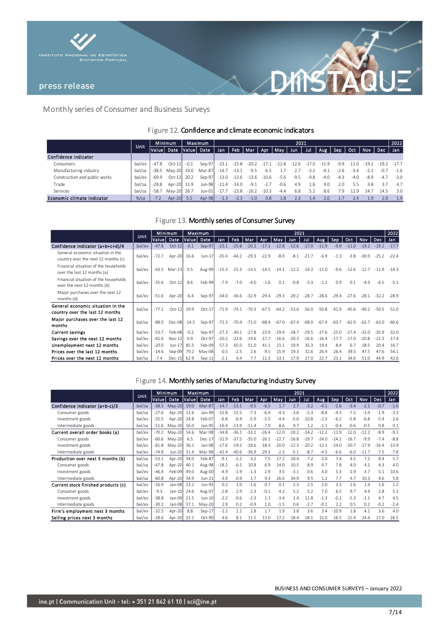



# Monthly series of Consumer and Business Surveys

# Figure 12. Confidence and climate economic indicators

|                               |         | <b>Minimum</b><br><b>Unit</b> |             | <b>Maximum</b> |            | 2021    |         |         |         |         |         |        |         |        |         |         |         | 2022   |
|-------------------------------|---------|-------------------------------|-------------|----------------|------------|---------|---------|---------|---------|---------|---------|--------|---------|--------|---------|---------|---------|--------|
|                               |         | Value                         | Date        |                | Value Date | Jan     | Feb     | Mar     | Apr     | May Jun |         | Jul    | Aug     | Sep    | Oct     | Nov     | Dec     | Jan    |
| Confidence indicator          |         |                               |             |                |            |         |         |         |         |         |         |        |         |        |         |         |         |        |
| Consumers                     | bal/ev  | $-47.8$                       | $Oct-12$    | $-0.1$         | $Sep-97$   | $-23.1$ | $-25.8$ | $-20.2$ | $-17.1$ | $-12.8$ | $-12.6$ |        | $-11.9$ | $-9.9$ | $-11.0$ | $-19.2$ | $-19.2$ | $-177$ |
| Manufacturing industry        | bal/sa  | $-38.5$                       | Mav-20 19.0 |                | Mar-87     | $-14.7$ | $-13.1$ | $-9.5$  | $-6.5$  |         |         | $-3.2$ | $-4.1$  | $-2.6$ | $-3.4$  | $-2.1$  | $-0.7$  | $-1.6$ |
| Construction and public works | bal/ev  | $-69.9$                       | $Oct-12$    | 20.2           | Sep-97     | $-13.0$ | $-13.6$ | $-13.6$ | $-10.6$ | $-5.6$  | $-9.5$  | $-9.8$ | $-4.0$  | $-4.3$ | $-4.0$  | -8.9    | $-4.7$  | $-3.0$ |
| Trade                         | bal/sa  | $-29.8$                       | Apr-20 11.9 |                | $Jun-98$   | $-11.4$ | $-14.0$ | $-9.1$  | $-2.7$  | $-0.6$  | 4.9     | 1.6    | 4.0     | 2.0    | 5.5     | 3.8     | 37      | 4.7    |
| Services                      | bal/sa  | $-58.7$                       | May-20      | 26.7           | Jun-01     | $-17.7$ | $-23.8$ | $-16.7$ | $-10.3$ | $-4.4$  | 6.8     | 5.2    | 8.6     | 7.9    | 12.9    | 14.7    | 14.5    | 3.0    |
| Economic climate indicator    | $%$ /sa | $-7.2$                        | Apr-20 5.5  |                | $Apr-98$   | $-1.3$  | $-2.3$  | $-1.0$  | 0.8     | 1.8     | 2.3     | 1.4    | 2.0     |        | 7.4     | 1.9     | 2.0     | 1.9    |

# Figure 13. Monthly series of Consumer Survey

|                                                                          | <b>Unit</b> | Maximum<br>Minimum |               | 2021   |          |         |         |         |         |         |         |         |         |         |         | 2022       |         |         |
|--------------------------------------------------------------------------|-------------|--------------------|---------------|--------|----------|---------|---------|---------|---------|---------|---------|---------|---------|---------|---------|------------|---------|---------|
|                                                                          |             | Valuel             | Date          | Valuel | Date     | Jan     | Feb.    | Mar     | Apr     | May     | Jun.    | Jul     | Aug     | Sep     | Oct     | <b>Nov</b> | Dec,    | Jan     |
| Confidence indicator (a+b+c+d)/4                                         | bal/ev      | $-47.8$            | $Oct-12$      | $-0.1$ | Sep-97   | $-23.1$ | $-25.8$ | $-20.2$ | $-17.1$ | $-12.8$ | $-12.6$ | $-17.0$ | $-11.9$ | $-9.9$  | $-11.0$ | $-19.2$    | $-19.2$ | $-17.7$ |
| General economic situation in the<br>country over the next 12 months (c) | bal/ev      | $-72.7$            | Apr-20        | 16.6   | Jun-17   | $-35.4$ | $-44.2$ | $-29.3$ | $-22.9$ | $-8.0$  | $-8.1$  | $-21.7$ | $-6.9$  | $-1.3$  | $-3.8$  | $-30.9$    | $-25.2$ | $-22.4$ |
| Financial situation of the households<br>over the last 12 months (a)     | bal/ev      | $-43.5$            | $Mar-13$      | 0.5    | Aug-99   | $-15.3$ | $-15.3$ | $-14.5$ | $-14.5$ | $-14.1$ | $-12.2$ | $-14.3$ | $-11.0$ | $-9.6$  | $-12.6$ | $-12.7$    | $-12.9$ | $-14.3$ |
| Financial situation of the households<br>over the next 12 months (b)     | bal/ev      | $-35.6$            | $Oct-12$      | 8.6    | Feb-99   | $-7.9$  | $-7.0$  | $-4.0$  | $-1.6$  | 0.1     | $-0.8$  | $-3.3$  | $-1.2$  | 0.9     | 0.1     | $-4.9$     | $-6.5$  | $-5.1$  |
| Major purchases over the next 12<br>months (d)                           | bal/ev      | $-51.6$            | Apr-20        | $-6.4$ | Sep-97   | $-34.0$ | $-36.6$ | $-32.9$ | $-29.4$ | $-29.3$ | $-29.2$ | $-28.7$ | $-28.6$ | $-29.4$ | $-27.6$ | $-28.1$    | $-32.2$ | $-289$  |
| General economic situation in the<br>country over the last 12 months     | bal/sa      | $-77.1$            | $Oct-12$      | 19.9   | $Oct-17$ | $-71.9$ | $-74.1$ | $-703$  | $-67.5$ | $-64.2$ | $-53.6$ | $-56.0$ | $-50.8$ | $-41.9$ | $-45.6$ | $-49.2$    | $-50.5$ | $-510$  |
| Major purchases over the last 12<br>months                               | bal/sa      | $-88.0$            | Dec-08 - 14.5 |        | Sep-97   | $-72.3$ | $-70.4$ | $-71.0$ | $-68.4$ | $-67.0$ | $-67.4$ | -68.0   | $-67.4$ | $-63.7$ | $-62.0$ | $-62.7$    | $-63.0$ | $-60.6$ |
| <b>Current savings</b>                                                   | bal/ev      | $-53.7$            | Feb-08        | $-0.2$ | Sep-97   | $-27.3$ | $-30.1$ | $-27.8$ | $-23.9$ | $-29.4$ | $-28.7$ | $-29.5$ | $-27.6$ | $-25.0$ | $-27.4$ | $-32.0$    | $-35.9$ | $-32.0$ |
| Savings over the next 12 months                                          | bal/ev      | $-42.6$            | $Nov-12$      | 0.9    | Oct-97   | $-20.2$ | $-22.6$ | $-19.6$ | $-17.7$ | $-16.6$ | $-20.3$ | $-16.6$ | $-16.4$ | $-17.7$ | $-17.0$ | $-20.8$    | $-22.3$ | $-17.4$ |
| Unemployment next 12 months                                              | bal/ev      | $-20.0$            | $Jun-17$      | 85.5   | Feb-09   | 57.3    | 65.0    | 51.0    | 41.1    | 21.1    | 19.9    | 35.3    | 19.4    | 8.4     | 6.7     | 18.5       | 20.4    | 16.7    |
| Prices over the last 12 months                                           | bal/ev      | $-14.6$            | Sep-09        | 79.2   | $May-08$ | 0.5     | $-2.5$  | 2.6     | 9.5     | 15.9    | 19.3    | 32.6    | 26.4    | 26.4    | 39.5    | 47.5       | 47.6    | 54.1    |
| Prices over the next 12 months                                           | bal/sa      | $-7.4$             | Dec-15 62.9   |        | $Sep-11$ | $-2.1$  | 4.4     |         | 11.3    | 13.1    | 17.9    | 27.0    | 22.7    | 23.1    | 34.6    | 51.0       | 44.9    | 42.6    |

# Figure 14. Monthly series of Manufacturing Industry Survey

|                                     |             | Minimum |             | Maximum |          | 2021    |         |         |         |         |         |         |         |         |         |            |         | 2022    |
|-------------------------------------|-------------|---------|-------------|---------|----------|---------|---------|---------|---------|---------|---------|---------|---------|---------|---------|------------|---------|---------|
|                                     | <b>Unit</b> | Value   | Date        | Value   | Date     | Jan     | Feb     | Mar     | Apr     | May     | Jun.    | Jul     | Aug     | Sep     | Oct     | <b>Nov</b> | Dec.    | Jan     |
| Confidence Indicator (a+b-c)/3      | bal/sa      | $-38.5$ | May-20      | 19.0    | Mar-87   | $-14.7$ | $-13.1$ | $-9.5$  | $-6.5$  | 1.7     | 2.7     | $-3.2$  | $-4.1$  | $-2.6$  | $-3.4$  | $-2.1$     | $-0.7$  | $-1.6$  |
| Consumer goods                      | bal/sa      | $-27.6$ | Apr-20      | 12.6    | Jan-99   | $-15.8$ | $-15.5$ | $-7.3$  | $-6.4$  | $-4.3$  | $-3.8$  | $-5.3$  | $-8.8$  | $-4.3$  | $-7.5$  | $-3.4$     | $-1.9$  | $-3.3$  |
| Investment goods                    | bal/ev      | $-35.5$ | Apr-20      | 24.8    | Feb-07   | $-6.8$  | $-6.9$  | $-5.9$  | $-5.5$  | $-4.4$  | $-5.6$  | $-10.8$ | $-2.3$  | $-6.2$  | $-5.8$  | $-6.8$     | $-5.4$  | $-2.6$  |
| Intermediate goods                  | bal/sa      | $-51.6$ | $May-20$    | 16.0    | Jan-95   | $-16.4$ | $-13.9$ | $-11.4$ | $-7.0$  | 8.6     | 9.7     | 1.2     | $-1.1$  | $-0.4$  | $-0.6$  | $-0.5$     | 0.8     | 0.1     |
| Current overall order books (a)     | bal/ev      | $-70.2$ | $May-20$    | 14.6    | Mar-98   | $-34.8$ | $-36.1$ | $-33.2$ | $-26.4$ | $-12.0$ | $-10.2$ | $-14.2$ | $-12.2$ | $-11.9$ | $-12.0$ | $-12.2$    | $-8.9$  | $-9.2$  |
| Consumer goods                      | bal/ev      | $-60.6$ | May-20      | 6.5     | Dec-17   | $-31.9$ | $-37.5$ | $-35.0$ | $-26.1$ | $-22.7$ | $-16.8$ | $-19$   | $-24.0$ | $-14.1$ | $-16.7$ | $-9.9$     | $-7.4$  | $-8.8$  |
| Investment goods                    | bal/ev      | $-81.8$ | $May-20$    | 36.1    | Jan-08   | $-17.6$ | $-19.5$ | $-18.6$ | $-18.3$ | $-20.0$ | $-12.3$ |         | $-12.1$ | $-24.0$ | $-20.7$ | $-17.9$    | $-16.4$ | $-13.9$ |
| Intermediate goods                  | bal/ev      | $-74.8$ | Jun-20      | 31.4    | Mar-98   | $-42.4$ | $-40.6$ | $-36.9$ | $-29.3$ | $-2.3$  | $-5.1$  | $-8.7$  | $-4.5$  | $-6.6$  | $-6.0$  | $-11.7$    | $-7.5$  | $-7.8$  |
| Production over next 3 months (b)   | bal/sa      | $-53.1$ | Apr-20      | 34.0    | Feb-87   | $-9.1$  | $-2.2$  | 3.2     | 7.5     | 17.2    | 20.4    | 7.2     | 2.0     | 7.4     | 4.5     | 7.2        | 8.4     | 5.7     |
| Consumer goods                      | bal/sa      | $-47.8$ | Apr-20      | 40.1    | Aug-98   | $-18.2$ | $-6.1$  | 10.8    | 6.9     | 14.0    | 10.5    | 8.9     | 4.7     | 7.8     | 4.0     | 4.1        | 4.3     | 4.0     |
| Investment goods                    | bal/ev      | $-46.4$ | Feb-09      | 49.0    | Aug-00   | $-4.9$  | $-1.9$  | $-1.3$  | 2.9     | 3.5     | $-3.1$  | 0.6     | 4.0     | 5.3     | $-1.9$  | $-3.7$     | 5.1     | 10.6    |
| Intermediate goods                  | bal/sa      | $-60.8$ | Apr-20      | 34.9    | Jun-21   | $-3.9$  | $-0.9$  | 1.7     | 9.3     | 26.6    | 34.9    | 9.5     | 1.2     | 7.7     | 4.7     | 10.3       | 9.6     | 5.8     |
| Current stock finished products (c) | bal/ev      | $-16.9$ | Jan-08      | 23.2    | Jun-93   | 0.2     | 1.0     | $-1.6$  | 0.7     | 0.1     | 2.3     | 2.5     | 2.0     | 3.3     | 2.6     | 1.4        | 1.6     | 1.2     |
| Consumer goods                      | bal/ev      | $-9.3$  | Jan-10      | 24.6    | Aug-07   | $-2.8$  | 2.9     | $-2.3$  | $-0.1$  | 4.2     | 5.2     | 5.2     | 7.0     | 6.5     | 9.7     | 4.4        | 2.8     | 5.1     |
| Investment goods                    | bal/ev      | $-38.8$ | Jan-09      | 21.5    | Jun-10   | $-2.2$  | $-0.6$  | $-2.3$  | 1.1     | $-3.4$  | 1.4     | 12.8    | $-1.3$  | $-0.1$  | $-5.3$  | $-1.1$     | 4.7     | 4.5     |
| Intermediate goods                  | bal/ev      | $-30.2$ | Jan-08      | 37.1    | $May-20$ | 2.9     | 0.2     | $-0.9$  | 1.0     | $-1.5$  | 0.6     | $-2.7$  | $-0.1$  | 2.2     | 0.5     | 0.2        | $-0.2$  | $-2.4$  |
| Firm's employment next 3 months     | bal/ev      | $-32.5$ | Apr-20      | 8.8     | $Sep-17$ | $-1.2$  | 2.1     | 2.8     | 1.7     | 1.9     | 3.8     | 3.6     | 3.4     | $-10.9$ | 1.8     | 4.1        | 3.6     | 4.0     |
| Selling prices next 3 months        | bal/sa      | $-28.6$ | Apr-20 32.1 |         | Oct-90   | 4.6     | 8.1     | 11.5    | 13.0    | 17.2    | 18.4    | 18.1    | 15.0    | 16.5    | 22.4    | 24.4       | 27.0    | 26.5    |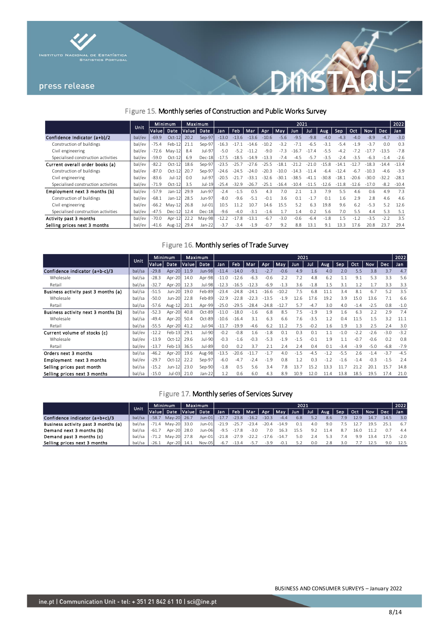



# Figure 15. Monthly series of Construction and Public Works Survey

|                                     | Unit   | Minimum |           | Maximum |          | 2021    |         |         |         |         |         |        |         |         |         |         |            | 2022    |
|-------------------------------------|--------|---------|-----------|---------|----------|---------|---------|---------|---------|---------|---------|--------|---------|---------|---------|---------|------------|---------|
|                                     |        | Value   | Date      | Value   | Date     | Jan     | Feb     | Mar     | Apr     | May     | Jun     | Jul    | Aug.    | Sep     | Oct     | Nov     | <b>Dec</b> | Jan     |
| Confidence Indicator (a+b)/2        | bal/ev | $-69.9$ | $Oct-12$  | 20.2    | $Sep-97$ | $-13.0$ | $-13.6$ | $-13.6$ | $-10.6$ | $-5.6$  | $-9.5$  | $-9.8$ | $-4.0$  | $-4.3$  | $-4.0$  | $-8.9$  | $-4.7$     | $-3.0$  |
| Construction of buildings           | bal/ev | $-75.4$ | Feb-12    | 21.1    | Sep-97   | $-16.3$ | $-17.1$ | $-14.6$ | $-10.2$ | $-3.2$  | $-7.1$  | $-6.5$ | $-3.1$  | $-5.4$  | $-1.9$  | $-3.7$  | 0.0        | 0.3     |
| Civil engineering                   | bal/ev | -72.6   | $Mav-12$  | 8.4     | Jul-97   | $-5.0$  | $-5.2$  | $-1$    | $-9.0$  | $-7.3$  | $-16.7$ | $-174$ | $-5.5$  | $-4.2$  | $-72$   |         | $-13.5$    | $-7.8$  |
| Specialised construction activities | bal/ev | $-59.0$ | $Oct-12$  | 6.9     | $Dec-18$ | $-17.5$ | $-18.5$ | $-14.9$ | $-13.3$ | $-7.4$  | $-4.5$  | $-5.7$ | $-3.5$  | $-2.4$  | $-3.5$  | $-6.3$  | $-1.4$     | $-2.6$  |
| Current overall order books (a)     | bal/ev | $-82.2$ | $Oct-12$  | 18.6    | Sep-97   | $-23.5$ | $-25.7$ | $-27.6$ | $-255$  | $-181$  | $-212$  | $-210$ | $-15.8$ | $-14$   | $-127$  | $-18.3$ | $-14.4$    | $-13.4$ |
| Construction of buildings           | bal/ev | $-87.0$ | $Oct-12$  | 20.7    | Sep-97   | $-24.6$ | $-24.5$ | $-240$  | $-20.3$ | $-10.0$ | $-14.3$ | $-114$ | $-6.4$  | $-12.4$ | $-6.7$  | $-10.3$ | $-4.6$     | $-3.9$  |
| Civil engineering                   | bal/ev | $-83.6$ | $Jul-12$  | 0.0     | Jul-97   | $-20.5$ | $-21.7$ | -331    | $-32.6$ | $-301$  | $-38.5$ | $-411$ | $-30.8$ | $-181$  | $-206$  |         | $-32.2$    | $-28.1$ |
| Specialised construction activities | bal/ev | $-71.9$ | $Oct-12I$ | 3.5     | Jul-19   | $-25.4$ | $-32.9$ | -26.7   | $-25.1$ | $-16.4$ | $-10.4$ | $-115$ | $-12.6$ | $-11.8$ | $-12.6$ | $-17.0$ | $-8.2$     | $-10.4$ |
| Employment next 3 months (b)        | bal/ev | $-57.9$ | $Jan-12$  | 29.9    | Jun-97   | $-2.4$  | $-1.5$  | 0.5     | 4.3     | 7.0     | 2.1     | 13     | 7.9     | 5.5     | 4.6     | 0.6     | 4.9        | 7.3     |
| Construction of buildings           | bal/ev | $-68.1$ | $Jan-12$  | 28.5    | Jun-97   | $-8.0$  | $-9.6$  | $-51$   | $-0.1$  | 3.6     | 0.1     | $-1.7$ | 0.1     | 1.6     | 2.9     | 2.8     | 4.6        | 4.6     |
| Civil engineering                   | bal/ev | $-66.2$ | $May-12$  | 26.8    | Jul-01   | 10.5    | 11.2    | 10.7    | 14.6    | 15.5    | 5.2     | 6.3    | 19.8    | 9.6     | 6.2     | $-5.3$  | 5.2        | 12.6    |
| Specialised construction activities | bal/ev | -47.5   | $Dec-12$  | 12.4    | $Dec-18$ | $-9.6$  | $-4.0$  | $-3.1$  | $-1.6$  | 17      | 1.4     | 0.2    | 5.6     | 7.0     | 5.5     | 4.4     | 5.3        | 5.1     |
| Activity past 3 months              | bal/ev | $-70.0$ | Apr-12    | 22.2    | May-98   | $-12.2$ | $-17.8$ | $-13.1$ | $-6.7$  | $-3.0$  | $-0.6$  | $-6.4$ | $-1.8$  | 1.5     | $-1.2$  | $-3.5$  | $-2.2$     | 3.5     |
| Selling prices next 3 months        | bal/ev | $-41.6$ | Aug- $12$ | 29.4    | Jan-22   | $-3.7$  | $-3.4$  | $-1.9$  | $-0.7$  | 9.2     | 8.8     | 13.1   | 9.1     | 13.3    | 17.6    | 20.8    | 23.7       | 29.4    |

# Figure 16. Monthly series of Trade Survey

|                                     |        |         | Minimum  | Maximum |               | 2021    |         |         |         |           |            |        |        |        |        |            |        | 2022   |
|-------------------------------------|--------|---------|----------|---------|---------------|---------|---------|---------|---------|-----------|------------|--------|--------|--------|--------|------------|--------|--------|
|                                     | Unit   | Value   | Date     | Value   | Date          | Jan     | Feb     | Mar     | Apr     | May       | <b>Jun</b> | Jul    | Aug    | Sep    | Oct    | <b>Nov</b> | Dec    | Jan    |
| Confidence indicator (a+b-c)/3      | bal/sa | $-29.8$ | Apr-20   | 11.9    | <b>Jun-98</b> | $-11.4$ | $-14.0$ | $-9.1$  | $-2.7$  | $-0.6$    | 4.9        | 1.6    | 4.0    | 2.0    | 5.5    | 3.8        | 3.7    | 4.7    |
| Wholesale                           | bal/sa | $-28.3$ | Apr-20   | 14.0    | Apr-98        | $-11.0$ | $-12.6$ | $-6.3$  | $-0.6$  | 2.2       | 7.2        | 4.8    | 6.2    | 1.1    | 9.1    | 5.3        | 3.3    | 5.6    |
| Retail                              | bal/sa | $-32.7$ | Apr-20   | 12.3    | Jul-98        | $-12.3$ | $-16.5$ | $-12.3$ | $-6.9$  | $-1.3$    | 3.6        | $-1.8$ | 1.5    | 3.1    | 1.2    | 1.7        | 3.3    | 3.3    |
| Business activity past 3 months (a) | bal/sa | $-51.5$ | Jun-20   | 19.0    | Feb-89        | $-23.4$ | $-24.8$ | $-24.1$ | $-16.6$ | $-10.2$   | 7.5        | 6.8    | 11.1   | 3.4    | 8.1    | 6.7        | 5.2    | 3.5    |
| Wholesale                           | bal/sa | $-50.0$ | Jun-20   | 22.8    | Feb-89        | $-22.9$ | $-22.8$ | $-22.3$ | $-13.5$ | $\cdot$ 9 | 12.6       | 17.6   | 19.2   | 3.9    | 15.0   | 13.6       | 7.1    | 6.6    |
| Retail                              | bal/sa | $-57.6$ | Aug-12   | 20.1    | Apr-99        | $-25.0$ | $-29.5$ | $-28.4$ | $-24.8$ | $-12.7$   | 5.7        | $-4.7$ | 3.0    | 4.0    | $-1.4$ | $-2.5$     | 0.8    | $-1.0$ |
| Business activity next 3 months (b) | bal/sa | $-52.3$ | Apr-20   | 40.8    | Oct-89        | $-11.0$ | $-18.0$ | $-1.6$  | 6.8     | 8.5       | 7.5        | $-1.9$ | 1.9    | 1.6    | 6.3    | 2.2        | 2.9    | 7.4    |
| Wholesale                           | bal/sa | $-49.4$ | Apr-20   | 50.4    | Oct-89        | $-10.6$ | $-16.4$ | 3.1     | 6.3     | 6.6       | 7.6        | $-3.5$ | 1.2    | 0.4    | 11.5   | 1.5        | 3.2    | 11.1   |
| Retail                              | bal/sa | $-55.5$ | Apr-20   | 41.2    | Jul-94        | $-11.7$ | $-19.9$ | $-4.6$  | 6.2     | 11.2      | 7.5        | $-0.2$ | 1.6    | 1.9    | 1.3    | 2.5        | 2.4    | 3.0    |
| Current volume of stocks (c)        | bal/ev | $-12.2$ | Feb-13   | 29.1    | Jul-90        | $-0.2$  | $-0.8$  | 1.6     | $-1.8$  | 0.1       | 0.3        | 0.1    | 1.1    | $-1.0$ | $-2.2$ | $-2.6$     | $-3.0$ | $-3.2$ |
| Wholesale                           | bal/ev | $-13.9$ | $Oct-12$ | 29.6    | Jul-90        | $-0.3$  | $-1.6$  | $-0.3$  | $-5.3$  | $-1.9$    | $-1.5$     | $-0.1$ | 1.9    | 1.1    | $-0.7$ | $-0.6$     | 0.2    | 0.8    |
| Retail                              | bal/ev | $-13.7$ | $Feb-13$ | 36.5    | Jul-89        | 0.0     | 0.2     | 3.7     | 2.1     | 2.4       | 2.4        | 0.4    | 0.1    | $-3.4$ | $-3.9$ | $-5.0$     | $-6.8$ | $-7.9$ |
| Orders next 3 months                | bal/sa | $-46.2$ | Apr-20   | 19.6    | Aug-98        | $-13.5$ | $-20.6$ | $-11.7$ | $-1.7$  | 4.0       | $-1.5$     | $-4.5$ | $-1.2$ | $-5.5$ | 2.6    | $-1.4$     | $-3.7$ | $-4.5$ |
| Employment next 3 months            | bal/ev | $-29.7$ | $Oct-12$ | 22.2    | Sep-97        | $-6.0$  | $-4.7$  | $-2.4$  | $-1.9$  | 0.8       | 1.2        | 0.3    | $-1.2$ | $-1.6$ | $-1.4$ | $-0.3$     | $-1.5$ | 2.4    |
| Selling prices past month           | bal/sa | $-15.2$ | Jun-12   | 23.0    | Sep-90        | $-1.8$  | 0.5     | 5.6     | 3.4     | 7.8       | 13.7       | 15.2   | 13.3   | 11     | 21.2   | 20.1       | 15.7   | 14.8   |
| Selling prices next 3 months        | bal/sa | $-15.0$ | Jul-03   | 21.0    | Jan-22        | 1.2     | 0.6     | 6.0     | 4.3     | 8.9       | 10.9       | 12.0   | 11.4   | 13.8   | 18.5   | 19.5       | 17.4   | 21.0   |

# Figure 17. Monthly series of Services Survey

|                                     | <b>Uniti</b> |         | Minimum           |  | Maximum    |         | 2021    |         |         |                                         |      |     |      |                                   |      |      |      | 2022   |
|-------------------------------------|--------------|---------|-------------------|--|------------|---------|---------|---------|---------|-----------------------------------------|------|-----|------|-----------------------------------|------|------|------|--------|
|                                     |              |         | Date              |  | Value Date |         |         |         |         | Jan   Feb   Mar   Apr   May   Jun   Jul |      |     |      | Aug   Sep   Oct   Nov   Dec   Jan |      |      |      |        |
| Confidence indicator (a+b+c)/3      | bal/sa       | $-58.7$ | May-20 26.7       |  | $Jun-01$   | $-17.7$ | $-23.8$ | $-16.2$ | $-10.3$ | $-4.4$                                  | 6.8  | 5.2 | 8.6  | 7.9                               | 12.9 | 14.7 | 14.5 | 3.0    |
| Business activity past 3 months (a) | bal/sa       |         | -71.4 May-20 33.0 |  | Jun-01     | $-21.9$ | $-25.7$ | $-23.4$ | $-20.4$ | $-14.9$                                 | 0.1  | 4.0 | 9.0  |                                   |      |      | 25.  | 6.7    |
| Demand next 3 months (b)            | bal/sa       | $-61.7$ | Apr-20 28.0       |  | Jun-06     | $-9.5$  | $-17.8$ | $-3.0$  | 7.0     | 16.3                                    | 15.5 |     | 11.4 | 8.                                |      |      |      | 4.4    |
| Demand past 3 months (c)            | bal/sa       |         | May-20 27.8       |  | Apr-01     | $-21.8$ | $-27.9$ |         | $-17.6$ | $-14.7$                                 | 5.0  |     | 5.3  |                                   |      |      |      | $-2.0$ |
| Selling prices next 3 months        | bal/sa       | $-26.1$ | Apr-20 14.1       |  | Nov-05     | $-6.7$  | $-13.4$ | $-5.7$  | $-3.9$  |                                         |      | 0.0 | 2.8  | 3.0                               |      | 125  |      | 12.5   |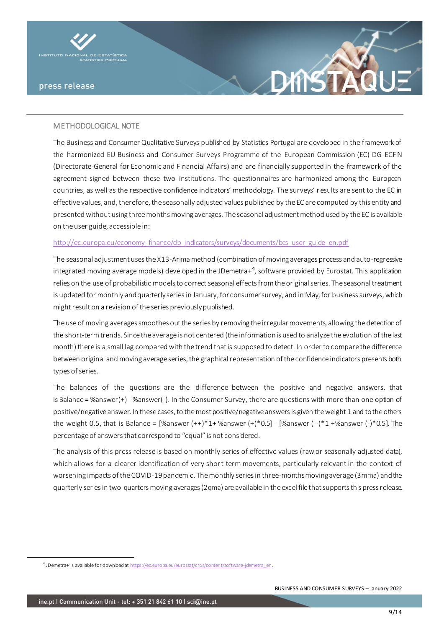

# METHODOLOGICAL NOTE

The Business and Consumer Qualitative Surveys published by Statistics Portugal are developed in the framework of the harmonized EU Business and Consumer Surveys Programme of the European Commission (EC) DG-ECFIN (Directorate-General for Economic and Financial Affairs) and are financially supported in the framework of the agreement signed between these two institutions. The questionnaires are harmonized among the European countries, as well as the respective confidence indicators' methodology. The surveys' results are sent to the EC in effective values, and, therefore, the seasonally adjusted values published by the EC are computed by this entity and presented without using three months moving averages. The seasonal adjustment method used by the EC is available on the user guide, accessible in:

#### [http://ec.europa.eu/economy\\_finance/db\\_indicators/surveys/documents/bcs\\_user\\_guide\\_en.pdf](http://ec.europa.eu/economy_finance/db_indicators/surveys/documents/bcs_user_guide_en.pdf)

The seasonal adjustment uses the X13-Arima method (combination of moving averages process and auto-regressive integrated moving average models) developed in the JDemetra+<sup>4</sup>, software provided by Eurostat. This application relies on the use of probabilistic models to correct seasonal effects from the original series. The seasonal treatment is updated for monthly and quarterly series in January, for consumer survey, and in May, for business surveys, which might result on a revision of the series previously published.

The use of moving averages smoothes out the series by removing the irregular movements, allowing the detection of the short-term trends. Since the average is not centered (the information is used to analyze the evolution of the last month) there is a small lag compared with the trend that is supposed to detect. In order to compare the difference between original and moving average series, the graphical representation of the confidence indicators presents both types of series.

The balances of the questions are the difference between the positive and negative answers, that is Balance = %answer(+) - %answer(-). In the Consumer Survey, there are questions with more than one option of positive/negative answer. In these cases, to the most positive/negative answers is given the weight 1 and to the others the weight 0.5, that is Balance =  $[%$ answer  $(++)$ \*1+ %answer  $(+)$ \*0.5] -  $[%$ answer  $(-)$ \*1+%answer  $(-)$ \*0.5]. The percentage of answers that correspond to "equal" is not considered.

The analysis of this press release is based on monthly series of effective values (raw or seasonally adjusted data), which allows for a clearer identification of very short-term movements, particularly relevant in the context of worsening impacts of the COVID-19 pandemic. The monthly series in three-months moving average (3mma) and the quarterly series in two-quarters moving averages (2qma) are available in the excel file that supports this press release.

<sup>&</sup>lt;sup>4</sup> JDemetra+ is available for download [at https://ec.europa.eu/eurostat/cros/content/software-jdemetra\\_en](https://ec.europa.eu/eurostat/cros/content/software-jdemetra_en).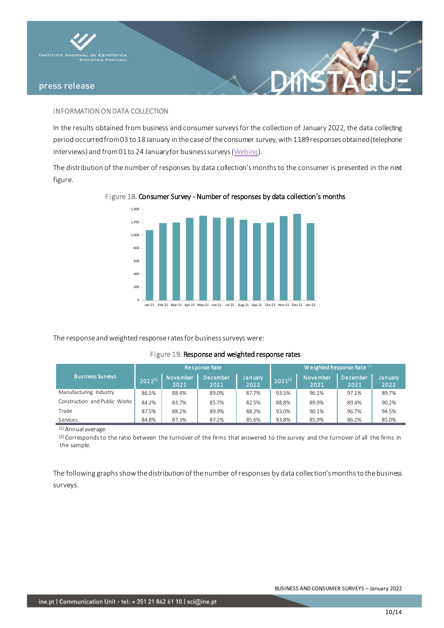

### INFORMATION ON DATA COLLECTION

In the results obtained from business and consumer surveys for the collection of January 2022, the data collecting period occurred from 03 to 18January in the case of the consumer survey, with 1189responses obtained (telephone interviews) and from 01 to 24 Januaryfor business surveys [\(Webinq](https://webinq.ine.pt/)).

XINS

The distribution of the number of responses by data collection's months to the consumer is presented in the next figure.

# $\Omega$ 200 400  $600$ 800 1,000 1,200 1,400 Jan-21 Feb-21 Mar-21 Apr-21 May-21 Jun-21 Jul-21 Aug-21 Sep-21 Oct-21 Nov-21 Dec-21 Jan-22

# Figure 18. Consumer Survey - Number of responses by data collection's months

The response and weighted response rates for business surveys were:

#### Figure 19. Response and weighted response rates

|                               |              | Response Rate           |                  | Weighted Response Rate $(2)$ |               |                         |                  |                 |  |  |  |  |
|-------------------------------|--------------|-------------------------|------------------|------------------------------|---------------|-------------------------|------------------|-----------------|--|--|--|--|
| <b>Business Surveys</b>       | $2021^{(1)}$ | <b>November</b><br>2021 | December<br>2021 | January<br>2022              | $12021^{(1)}$ | <b>November</b><br>2021 | December<br>2021 | January<br>2022 |  |  |  |  |
| Manufacturing Industry        | 86.5%        | 88.4%                   | 89.0%            | 87.7%                        | 93.5%         | 96.1%                   | 97.1%            | 89.7%           |  |  |  |  |
| Construction and Public Works | 84.2%        | 83.7%                   | 85.7%            | 82.5%                        | 88.8%         | 89.9%                   | 89.4%            | 90.2%           |  |  |  |  |
| Trade                         | 87.5%        | 88.2%                   | 89.9%            | 88.2%                        | 93.0%         | 90.1%                   | 96.7%            | 94.5%           |  |  |  |  |
| Services                      | 84.8%        | 87.3%                   | 87.2%            | 85.6%                        | 83.8%         | 85.9%                   | 86.2%            | 85.0%           |  |  |  |  |

(1) Annual average.

 $(2)$  Corresponds to the ratio between the turnover of the firms that answered to the survey and the turnover of all the firms in the sample.

The following graphs show the distribution of the number of responses by data collection's months to the business surveys.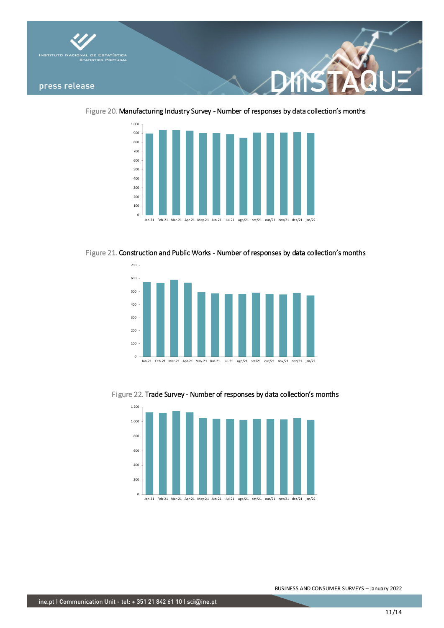

Figure 20. Manufacturing Industry Survey - Number of responses by data collection's months



Figure 21. Construction and Public Works - Number of responses by data collection's months



Figure 22. Trade Survey - Number of responses by data collection's months



Jan-21 Feb-21 Mar-21 Apr-21 May-21 Jun-21 Jul-21 ago/21 set/21 out/21 nov/21 dez/21 jan/22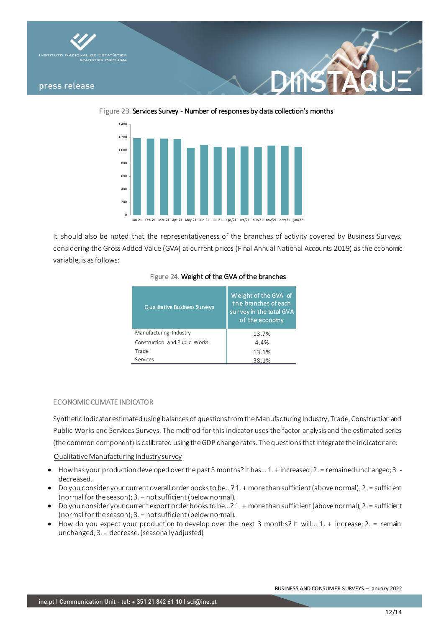

Figure 23. Services Survey - Number of responses by data collection's months



It should also be noted that the representativeness of the branches of activity covered by Business Surveys, considering the Gross Added Value (GVA) at current prices (Final Annual National Accounts 2019) as the economic variable, is as follows:

| Qualitative Business Surveys  | Weight of the GVA of<br>the branches of each<br>survey in the total GVA<br>of the economy |
|-------------------------------|-------------------------------------------------------------------------------------------|
| Manufacturing Industry        | 13.7%                                                                                     |
| Construction and Public Works | 4.4%                                                                                      |
| Trade                         | 13.1%                                                                                     |
| Services                      | 38.1%                                                                                     |

# Figure 24. Weight of the GVA of the branches

#### ECONOMIC CLIMATE INDICATOR

Synthetic Indicator estimated using balances of questions from the Manufacturing Industry, Trade, Construction and Public Works and Services Surveys. The method for this indicator uses the factor analysis and the estimated series (the common component) is calibrated using the GDP change rates. The questions that integrate the indicator are:

# Qualitative Manufacturing Industry survey

- How has your production developed over the past 3 months? It has… 1. + increased; 2. = remained unchanged; 3. decreased.
- Do you consider your current overall order books to be...? 1. + more than sufficient (above normal); 2. = sufficient (normal for the season); 3. − not sufficient (below normal).
- Do you consider your current export order books to be...? 1. + more than suffic ient (above normal); 2. = sufficient (normal for the season); 3. − not sufficient (below normal).
- How do you expect your production to develop over the next 3 months? It will... 1. + increase; 2. = remain unchanged; 3. - decrease. (seasonally adjusted)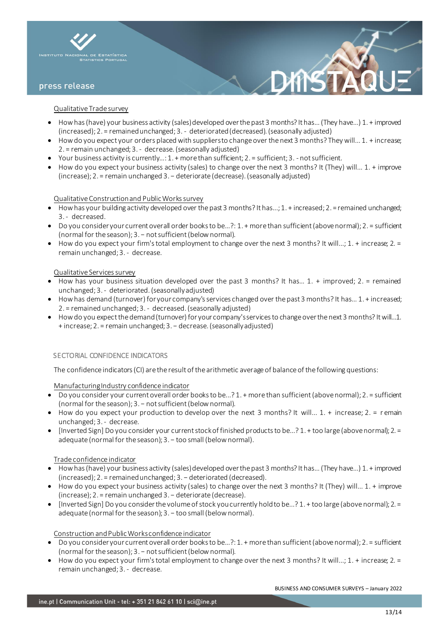

#### Qualitative Trade survey

- How has (have) your business activity (sales) developed over the past 3 months? It has… (They have...) 1. + improved (increased); 2. = remained unchanged; 3. - deteriorated (decreased). (seasonally adjusted)
- $\bullet$  How do you expect your orders placed with suppliers to change over the next 3 months? They will... 1. + increase; 2. = remain unchanged; 3. - decrease. (seasonally adjusted)
- Your business activity is currently…: 1. + more than sufficient; 2. = sufficient; 3. not sufficient.
- How do you expect your business activity (sales) to change over the next 3 months? It (They) will... 1. + improve (increase); 2. = remain unchanged 3. − deteriorate (decrease). (seasonally adjusted)

#### Qualitative Construction and Public Works survey

- How has your building activity developed over the past 3 months? It has...; 1. + increased; 2. = remained unchanged; 3. - decreased.
- Do you consider your current overall order books to be…?: 1. + more than sufficient (above normal); 2. = sufficient (normal for the season); 3. − not sufficient (below normal).
- How do you expect your firm's total employment to change over the next 3 months? It will...; 1. + increase; 2. = remain unchanged; 3. - decrease.

#### Qualitative Services survey

- How has your business situation developed over the past 3 months? It has… 1. + improved; 2. = remained unchanged; 3. - deteriorated. (seasonally adjusted)
- How has demand (turnover) for your company's services changed over the past 3 months? It has… 1. + increased; 2. = remained unchanged; 3. - decreased. (seasonally adjusted)
- How do you expect the demand (turnover) for your company's services to change over the next 3 months? It will…1. + increase; 2. = remain unchanged; 3. − decrease. (seasonally adjusted)

#### SECTORIAL CONFIDENCE INDICATORS

The confidence indicators (CI) are the result of the arithmetic average of balance of the following questions:

Manufacturing Industry confidence indicator

- Do you consider your current overall order books to be...? 1. + more than sufficient (above normal); 2. = sufficient (normal for the season); 3. − not sufficient (below normal).
- How do you expect your production to develop over the next 3 months? It will... 1. + increase; 2. = r emain unchanged; 3. - decrease.
- [Inverted Sign] Do you consider your current stock of finished products to be...? 1. + too large (above normal); 2. = adequate (normal for the season); 3. - too small (below normal).

#### Trade confidence indicator

- How has (have) your business activity (sales) developed over the past 3 months? It has… (They have...) 1. + improved (increased); 2. = remained unchanged; 3. − deteriorated (decreased).
- How do you expect your business activity (sales) to change over the next 3 months? It (They) will... 1. + improve (increase); 2. = remain unchanged 3. − deteriorate (decrease).
- [Inverted Sign] Do you consider the volume of stock you currently hold to be...? 1. + too large (above normal); 2. = adequate (normal for the season); 3. - too small (below normal).

#### Construction and Public Works confidence indicator

- Do you consider your current overall order books to be…?: 1. + more than sufficient (above normal); 2. = sufficient (normal for the season); 3. − not sufficient (below normal).
- How do you expect your firm's total employment to change over the next 3 months? It will...; 1. + increase; 2. = remain unchanged; 3. - decrease.